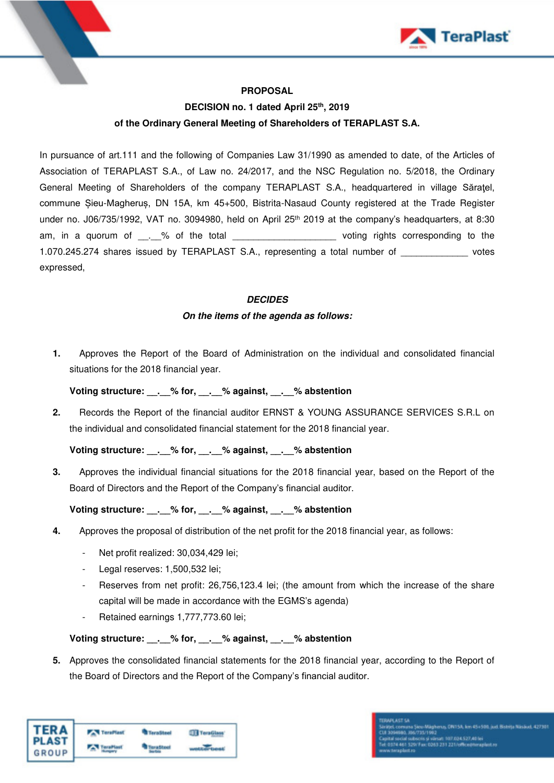

## **PROPOSAL**

# **DECISION no. 1 dated April 25th, 2019 of the Ordinary General Meeting of Shareholders of TERAPLAST S.A.**

In pursuance of art.111 and the following of Companies Law 31/1990 as amended to date, of the Articles of Association of TERAPLAST S.A., of Law no. 24/2017, and the NSC Regulation no. 5/2018, the Ordinary General Meeting of Shareholders of the company TERAPLAST S.A., headquartered in village Săraţel, commune Șieu-Magheruș, DN 15A, km 45+500, Bistrita-Nasaud County registered at the Trade Register under no. J06/735/1992, VAT no. 3094980, held on April 25<sup>th</sup> 2019 at the company's headquarters, at 8:30 am, in a quorum of \_\_.\_% of the total \_\_\_\_\_\_\_\_\_\_\_\_\_\_\_\_\_\_\_\_\_\_\_\_\_voting rights corresponding to the 1.070.245.274 shares issued by TERAPLAST S.A., representing a total number of votes expressed,

#### **DECIDES**

#### **On the items of the agenda as follows:**

**1.** Approves the Report of the Board of Administration on the individual and consolidated financial situations for the 2018 financial year.

#### **Voting structure: \_\_.\_\_% for, \_\_.\_\_% against, \_\_.\_\_% abstention**

**2.** Records the Report of the financial auditor ERNST & YOUNG ASSURANCE SERVICES S.R.L on the individual and consolidated financial statement for the 2018 financial year.

## **Voting structure: \_\_.\_\_% for, \_\_.\_\_% against, \_\_.\_\_% abstention**

**3.** Approves the individual financial situations for the 2018 financial year, based on the Report of the Board of Directors and the Report of the Company's financial auditor.

## **Voting structure: \_\_.\_\_% for, \_\_.\_\_% against, \_\_.\_\_% abstention**

- **4.** Approves the proposal of distribution of the net profit for the 2018 financial year, as follows:
	- Net profit realized: 30,034,429 lei;
	- Legal reserves: 1,500,532 lei;
	- Reserves from net profit: 26,756,123.4 lei; (the amount from which the increase of the share capital will be made in accordance with the EGMS's agenda)
	- Retained earnings 1,777,773.60 lei;

#### **Voting structure: \_\_.\_\_% for, \_\_.\_\_% against, \_\_.\_\_% abstention**

**5.** Approves the consolidated financial statements for the 2018 financial year, according to the Report of the Board of Directors and the Report of the Company's financial auditor.

| TERA<br>GROUP | <b>TeraPlast</b> | <b>TeraSteel</b> | <b>JJ</b> TeraGlass |
|---------------|------------------|------------------|---------------------|
|               | TaraPlast        |                  | <b>WINDERFORME</b>  |

992<br>| värsat: 107.034.527,40 lei<br>0363.231.221/office@teraplast.rc